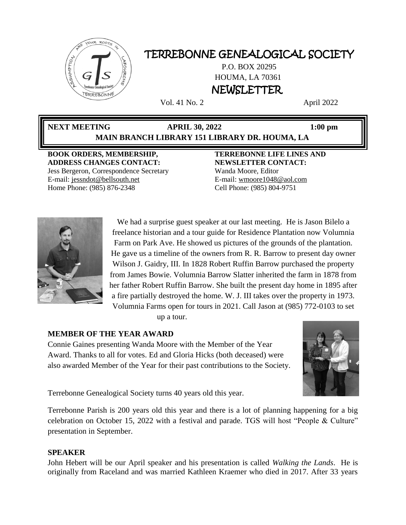

# TERREBONNE GENEALOGICAL SOCIETY

P.O. BOX 20295 HOUMA, LA 70361 NEWSLETTER

Vol. 41 No. 2 April 2022

# **NEXT MEETING APRIL 30, 2022 1:00 pm MAIN BRANCH LIBRARY 151 LIBRARY DR. HOUMA, LA**

**BOOK ORDERS, MEMBERSHIP, ADDRESS CHANGES CONTACT:** Jess Bergeron, Correspondence Secretary E-mail: jess[ndot@bellsouth.net](mailto:dot@bellsouth.net) Home Phone: (985) 876-2348

**TERREBONNE LIFE LINES AND NEWSLETTER CONTACT:** Wanda Moore, Editor E-mail[: wmoore1048@aol.com](mailto:wmoore1048@aol.com) Cell Phone: (985) 804-9751



We had a surprise guest speaker at our last meeting. He is Jason Bilelo a freelance historian and a tour guide for Residence Plantation now Volumnia Farm on Park Ave. He showed us pictures of the grounds of the plantation. He gave us a timeline of the owners from R. R. Barrow to present day owner Wilson J. Gaidry, III. In 1828 Robert Ruffin Barrow purchased the property from James Bowie. Volumnia Barrow Slatter inherited the farm in 1878 from her father Robert Ruffin Barrow. She built the present day home in 1895 after a fire partially destroyed the home. W. J. III takes over the property in 1973. Volumnia Farms open for tours in 2021. Call Jason at (985) 772-0103 to set

up a tour.

# **MEMBER OF THE YEAR AWARD**

Connie Gaines presenting Wanda Moore with the Member of the Year Award. Thanks to all for votes. Ed and Gloria Hicks (both deceased) were also awarded Member of the Year for their past contributions to the Society.



Terrebonne Genealogical Society turns 40 years old this year.

Terrebonne Parish is 200 years old this year and there is a lot of planning happening for a big celebration on October 15, 2022 with a festival and parade. TGS will host "People & Culture" presentation in September.

# **SPEAKER**

John Hebert will be our April speaker and his presentation is called *Walking the Lands*. He is originally from Raceland and was married Kathleen Kraemer who died in 2017. After 33 years